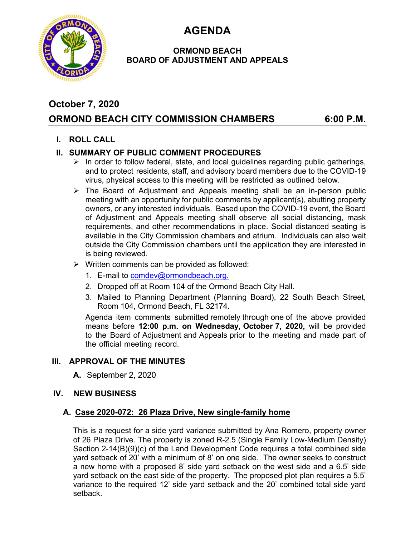**AGENDA** 



### **ORMOND BEACH BOARD OF ADJUSTMENT AND APPEALS**

# **October 7, 2020**

## **ORMOND BEACH CITY COMMISSION CHAMBERS 6:00 P.M.**

## **I. ROLL CALL**

### **II. SUMMARY OF PUBLIC COMMENT PROCEDURES**

- $\triangleright$  In order to follow federal, state, and local guidelines regarding public gatherings, and to protect residents, staff, and advisory board members due to the COVID-19 virus, physical access to this meeting will be restricted as outlined below.
- $\triangleright$  The Board of Adjustment and Appeals meeting shall be an in-person public meeting with an opportunity for public comments by applicant(s), abutting property owners, or any interested individuals. Based upon the COVID-19 event, the Board of Adjustment and Appeals meeting shall observe all social distancing, mask requirements, and other recommendations in place. Social distanced seating is available in the City Commission chambers and atrium. Individuals can also wait outside the City Commission chambers until the application they are interested in is being reviewed.
- $\triangleright$  Written comments can be provided as followed:
	- 1. E-mail to comdev@ormondbeach.org.
	- 2. Dropped off at Room 104 of the Ormond Beach City Hall.
	- 3. Mailed to Planning Department (Planning Board), 22 South Beach Street, Room 104, Ormond Beach, FL 32174.

Agenda item comments submitted remotely through one of the above provided means before **12:00 p.m. on Wednesday, October 7, 2020,** will be provided to the Board of Adjustment and Appeals prior to the meeting and made part of the official meeting record.

#### **III. APPROVAL OF THE MINUTES**

**A.** September 2, 2020

#### **IV. NEW BUSINESS**

#### **A. Case 2020-072: 26 Plaza Drive, New single-family home**

This is a request for a side yard variance submitted by Ana Romero, property owner of 26 Plaza Drive. The property is zoned R-2.5 (Single Family Low-Medium Density) Section 2-14(B)(9)(c) of the Land Development Code requires a total combined side yard setback of 20' with a minimum of 8' on one side. The owner seeks to construct a new home with a proposed 8' side yard setback on the west side and a 6.5' side yard setback on the east side of the property. The proposed plot plan requires a 5.5' variance to the required 12' side yard setback and the 20' combined total side yard setback.